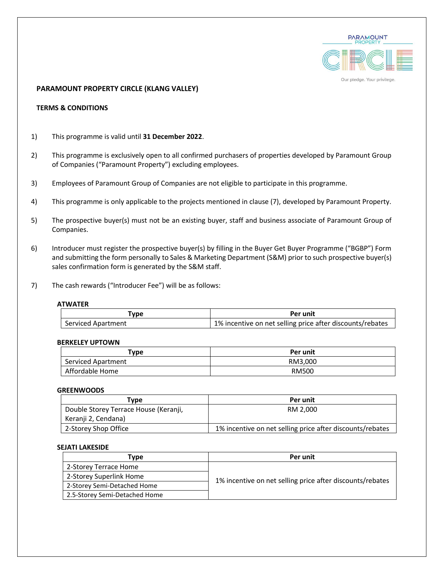

## **PARAMOUNT PROPERTY CIRCLE (KLANG VALLEY)**

# **TERMS & CONDITIONS**

- 1) This programme is valid until **31 December 2022**.
- 2) This programme is exclusively open to all confirmed purchasers of properties developed by Paramount Group of Companies ("Paramount Property") excluding employees.
- 3) Employees of Paramount Group of Companies are not eligible to participate in this programme.
- 4) This programme is only applicable to the projects mentioned in clause (7), developed by Paramount Property.
- 5) The prospective buyer(s) must not be an existing buyer, staff and business associate of Paramount Group of Companies.
- 6) Introducer must register the prospective buyer(s) by filling in the Buyer Get Buyer Programme ("BGBP") Form and submitting the form personally to Sales & Marketing Department (S&M) prior to such prospective buyer(s) sales confirmation form is generated by the S&M staff.
- 7) The cash rewards ("Introducer Fee") will be as follows:

### **ATWATER**

| Type               | Per unit                                                  |
|--------------------|-----------------------------------------------------------|
| Serviced Apartment | 1% incentive on net selling price after discounts/rebates |

### **BERKELEY UPTOWN**

| Type               | Per unit     |
|--------------------|--------------|
| Serviced Apartment | RM3,000      |
| Affordable Home    | <b>RM500</b> |

### **GREENWOODS**

| Tvpe                                  | Per unit                                                  |
|---------------------------------------|-----------------------------------------------------------|
| Double Storey Terrace House (Keranji, | RM 2.000                                                  |
| Keranji 2, Cendana)                   |                                                           |
| 2-Storey Shop Office                  | 1% incentive on net selling price after discounts/rebates |

### **SEJATI LAKESIDE**

| Type                          | Per unit                                                  |
|-------------------------------|-----------------------------------------------------------|
| 2-Storey Terrace Home         |                                                           |
| 2-Storey Superlink Home       | 1% incentive on net selling price after discounts/rebates |
| 2-Storey Semi-Detached Home   |                                                           |
| 2.5-Storey Semi-Detached Home |                                                           |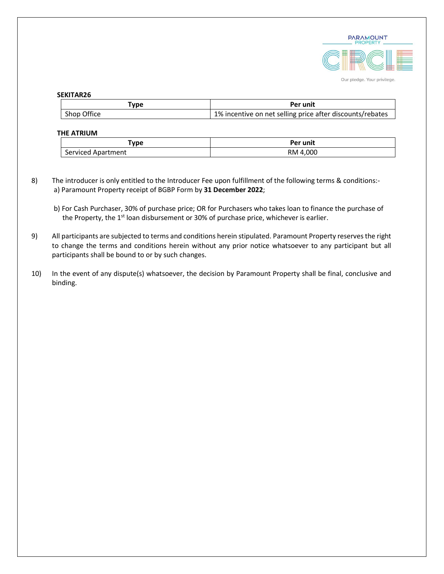

### **SEKITAR26**

| 'vpe        | Per unit                                                  |
|-------------|-----------------------------------------------------------|
| Shop Office | 1% incentive on net selling price after discounts/rebates |

# **THE ATRIUM**

| 'ype                                   | Per unit   |
|----------------------------------------|------------|
| $\sim$<br>Serviced<br>งartment<br>Anar | .000<br>RM |

- 8) The introducer is only entitled to the Introducer Fee upon fulfillment of the following terms & conditions: a) Paramount Property receipt of BGBP Form by **31 December 2022**;
	- b) For Cash Purchaser, 30% of purchase price; OR for Purchasers who takes loan to finance the purchase of the Property, the 1<sup>st</sup> loan disbursement or 30% of purchase price, whichever is earlier.
- 9) All participants are subjected to terms and conditions herein stipulated. Paramount Property reservesthe right to change the terms and conditions herein without any prior notice whatsoever to any participant but all participants shall be bound to or by such changes.
- 10) In the event of any dispute(s) whatsoever, the decision by Paramount Property shall be final, conclusive and binding.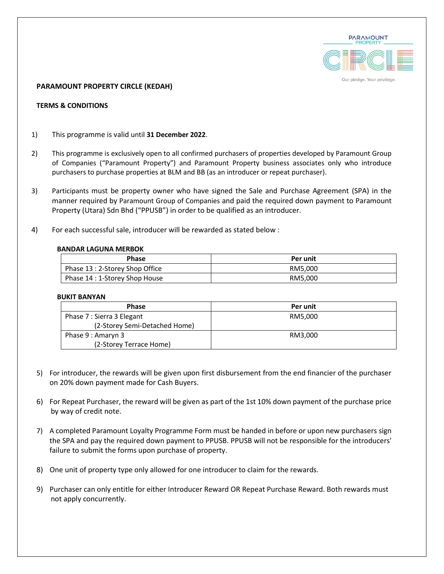

# **PARAMOUNT PROPERTY CIRCLE (KEDAH)**

## **TERMS & CONDITIONS**

- 1) This programme is valid until **31 December 2022**.
- 2) This programme is exclusively open to all confirmed purchasers of properties developed by Paramount Group of Companies ("Paramount Property") and Paramount Property business associates only who introduce purchasers to purchase properties at BLM and BB (as an introducer or repeat purchaser).
- 3) Participants must be property owner who have signed the Sale and Purchase Agreement (SPA) in the manner required by Paramount Group of Companies and paid the required down payment to Paramount Property (Utara) Sdn Bhd ("PPUSB") in order to be qualified as an introducer.
- 4) For each successful sale, introducer will be rewarded as stated below :

### **BANDAR LAGUNA MERBOK**

| <b>Phase</b>                    | Per unit |
|---------------------------------|----------|
| Phase 13 : 2-Storey Shop Office | RM5.000  |
| Phase 14 : 1-Storey Shop House  | RM5.000  |

### **BUKIT BANYAN**

| <b>Phase</b>                  | Per unit |
|-------------------------------|----------|
| Phase 7 : Sierra 3 Elegant    | RM5.000  |
| (2-Storey Semi-Detached Home) |          |
| Phase 9 : Amaryn 3            | RM3.000  |
| (2-Storey Terrace Home)       |          |

- 5) For introducer, the rewards will be given upon first disbursement from the end financier of the purchaser on 20% down payment made for Cash Buyers.
- 6) For Repeat Purchaser, the reward will be given as part of the 1st 10% down payment of the purchase price by way of credit note.
- 7) A completed Paramount Loyalty Programme Form must be handed in before or upon new purchasers sign the SPA and pay the required down payment to PPUSB. PPUSB will not be responsible for the introducers' failure to submit the forms upon purchase of property.
- 8) One unit of property type only allowed for one introducer to claim for the rewards.
- 9) Purchaser can only entitle for either Introducer Reward OR Repeat Purchase Reward. Both rewards must not apply concurrently.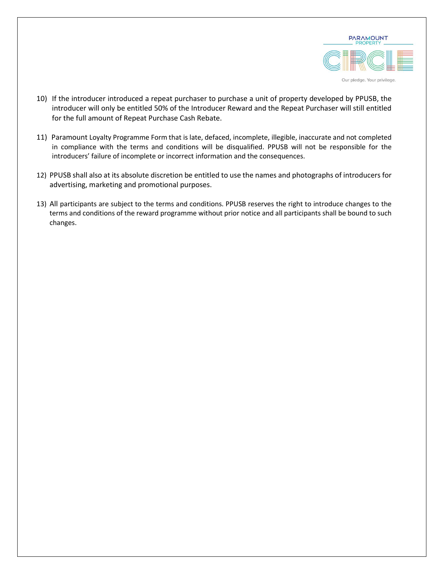

- 10) If the introducer introduced a repeat purchaser to purchase a unit of property developed by PPUSB, the introducer will only be entitled 50% of the Introducer Reward and the Repeat Purchaser will still entitled for the full amount of Repeat Purchase Cash Rebate.
- 11) Paramount Loyalty Programme Form that is late, defaced, incomplete, illegible, inaccurate and not completed in compliance with the terms and conditions will be disqualified. PPUSB will not be responsible for the introducers' failure of incomplete or incorrect information and the consequences.
- 12) PPUSB shall also at its absolute discretion be entitled to use the names and photographs of introducers for advertising, marketing and promotional purposes.
- 13) All participants are subject to the terms and conditions. PPUSB reserves the right to introduce changes to the terms and conditions of the reward programme without prior notice and all participants shall be bound to such changes.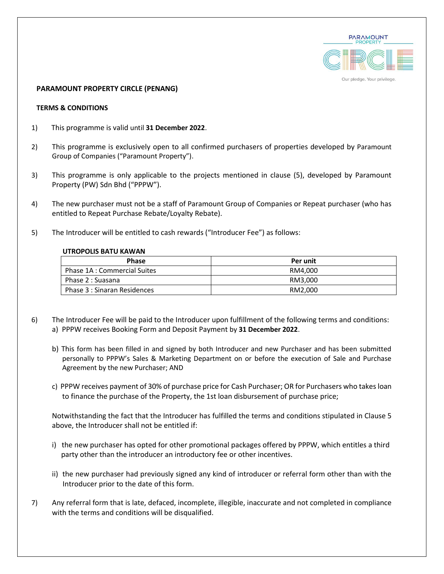

### **PARAMOUNT PROPERTY CIRCLE (PENANG)**

### **TERMS & CONDITIONS**

- 1) This programme is valid until **31 December 2022**.
- 2) This programme is exclusively open to all confirmed purchasers of properties developed by Paramount Group of Companies ("Paramount Property").
- 3) This programme is only applicable to the projects mentioned in clause (5), developed by Paramount Property (PW) Sdn Bhd ("PPPW").
- 4) The new purchaser must not be a staff of Paramount Group of Companies or Repeat purchaser (who has entitled to Repeat Purchase Rebate/Loyalty Rebate).
- 5) The Introducer will be entitled to cash rewards ("Introducer Fee") as follows:

## **UTROPOLIS BATU KAWAN**

| <b>Phase</b>                 | Per unit |
|------------------------------|----------|
| Phase 1A : Commercial Suites | RM4.000  |
| Phase 2 : Suasana            | RM3.000  |
| Phase 3 : Sinaran Residences | RM2.000  |

- 6) The Introducer Fee will be paid to the Introducer upon fulfillment of the following terms and conditions: a) PPPW receives Booking Form and Deposit Payment by **31 December 2022**.
	- b) This form has been filled in and signed by both Introducer and new Purchaser and has been submitted personally to PPPW's Sales & Marketing Department on or before the execution of Sale and Purchase Agreement by the new Purchaser; AND
	- c) PPPW receives payment of 30% of purchase price for Cash Purchaser; OR for Purchasers who takes loan to finance the purchase of the Property, the 1st loan disbursement of purchase price;

Notwithstanding the fact that the Introducer has fulfilled the terms and conditions stipulated in Clause 5 above, the Introducer shall not be entitled if:

- i) the new purchaser has opted for other promotional packages offered by PPPW, which entitles a third party other than the introducer an introductory fee or other incentives.
- ii) the new purchaser had previously signed any kind of introducer or referral form other than with the Introducer prior to the date of this form.
- 7) Any referral form that is late, defaced, incomplete, illegible, inaccurate and not completed in compliance with the terms and conditions will be disqualified.